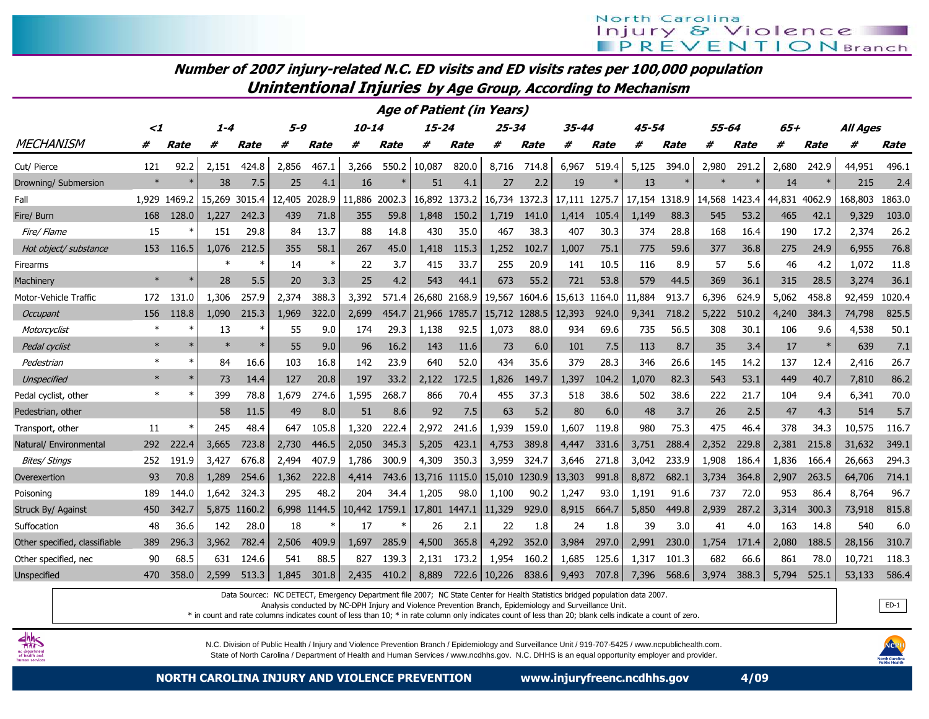| Number of 2007 injury-related N.C. ED visits and ED visits rates per 100,000 population |  |  |  |  |  |  |  |  |
|-----------------------------------------------------------------------------------------|--|--|--|--|--|--|--|--|
|                                                                                         |  |  |  |  |  |  |  |  |

Unintentional Injuries by Age Group, According to Mechanism

| <b>Age of Patient (in Years)</b><br>55-64 |          |             |         |             |         |        |           |             |               |        |               |               |               |        |               |       |               |       |        |             |                 |        |
|-------------------------------------------|----------|-------------|---------|-------------|---------|--------|-----------|-------------|---------------|--------|---------------|---------------|---------------|--------|---------------|-------|---------------|-------|--------|-------------|-----------------|--------|
|                                           | $\leq$ 1 |             | $1 - 4$ |             | $5 - 9$ |        | $10 - 14$ |             | $15 - 24$     |        | 25-34         |               | 35-44         |        | 45-54         |       |               |       | $65+$  |             | <b>All Ages</b> |        |
| <b>MECHANISM</b>                          | #        | <b>Rate</b> | #       | <b>Rate</b> | #       | Rate   | #         | <b>Rate</b> | #             | Rate   | #             | <b>Rate</b>   | #             | Rate   | #             | Rate  | #             | Rate  | #      | <b>Rate</b> | #               | Rate   |
| Cut/ Pierce                               | 121      | 92.2        | 2,151   | 424.8       | 2,856   | 467.1  | 3,266     | 550.2       | 10,087        | 820.0  | 8,716         | 714.8         | 6,967         | 519.4  | 5,125         | 394.0 | 2,980         | 291.2 | 2,680  | 242.9       | 44,951          | 496.1  |
| Drowning/ Submersion                      | $\ast$   |             | 38      | 7.5         | 25      | 4.1    | 16        |             | 51            | 4.1    | 27            | 2.2           | 19            | $\ast$ | 13            |       |               |       | 14     |             | 215             | 2.4    |
| Fall                                      | 1.929    | 1469.2      | 15,269  | 3015.4      | 12,405  | 2028.9 | 11,886    | 2002.3      | 16,892        | 1373.2 |               | 16,734 1372.3 | 17,111 1275.7 |        | 17,154 1318.9 |       | 14,568 1423.4 |       | 44.831 | 4062.9      | 168,803         | 1863.0 |
| Fire/ Burn                                | 168      | 128.0       | 1.227   | 242.3       | 439     | 71.8   | 355       | 59.8        | 1,848         | 150.2  | 1.719         | 141.0         | 1,414         | 105.4  | 1.149         | 88.3  | 545           | 53.2  | 465    | 42.1        | 9,329           | 103.0  |
| Fire/ Flame                               | 15       |             | 151     | 29.8        | 84      | 13.7   | 88        | 14.8        | 430           | 35.0   | 467           | 38.3          | 407           | 30.3   | 374           | 28.8  | 168           | 16.4  | 190    | 17.2        | 2,374           | 26.2   |
| Hot object/ substance                     | 153      | 116.5       | 1.076   | 212.5       | 355     | 58.1   | 267       | 45.0        | 1.418         | 115.3  | 1,252         | 102.7         | 1.007         | 75.1   | 775           | 59.6  | 377           | 36.8  | 275    | 24.9        | 6,955           | 76.8   |
| Firearms                                  |          |             | $\ast$  | ∗           | 14      | $\ast$ | 22        | 3.7         | 415           | 33.7   | 255           | 20.9          | 141           | 10.5   | 116           | 8.9   | 57            | 5.6   | 46     | 4.2         | 1,072           | 11.8   |
| Machinery                                 |          |             | 28      | 5.5         | 20      | 3.3    | 25        | 4.2         | 543           | 44.1   | 673           | 55.2          | 721           | 53.8   | 579           | 44.5  | 369           | 36.1  | 315    | 28.5        | 3,274           | 36.1   |
| Motor-Vehicle Traffic                     | 172      | 131.0       | 1,306   | 257.9       | 2,374   | 388.3  | 3,392     | 571.4       | 26,680        | 2168.9 | 19,567        | 1604.6        | 15,613        | 1164.0 | 11.884        | 913.7 | 6,396         | 624.9 | 5.062  | 458.8       | 92,459          | 1020.4 |
| Occupant                                  | 156      | 118.8       | 1.090   | 215.3       | 1,969   | 322.0  | 2,699     | 454.7       | 21,966 1785.7 |        | 15,712 1288.5 |               | 12,393        | 924.0  | 9,341         | 718.2 | 5,222         | 510.2 | 4,240  | 384.3       | 74,798          | 825.5  |
| Motorcyclist                              |          |             | 13      | $\ast$      | 55      | 9.0    | 174       | 29.3        | 1,138         | 92.5   | 1,073         | 88.0          | 934           | 69.6   | 735           | 56.5  | 308           | 30.1  | 106    | 9.6         | 4,538           | 50.1   |
| Pedal cyclist                             |          |             | $\ast$  |             | 55      | 9.0    | 96        | 16.2        | 143           | 11.6   | 73            | 6.0           | 101           | 7.5    | 113           | 8.7   | 35            | 3.4   | 17     | $\ast$      | 639             | 7.1    |
| Pedestrian                                | $\ast$   |             | 84      | 16.6        | 103     | 16.8   | 142       | 23.9        | 640           | 52.0   | 434           | 35.6          | 379           | 28.3   | 346           | 26.6  | 145           | 14.2  | 137    | 12.4        | 2,416           | 26.7   |
| <b>Unspecified</b>                        | $\ast$   |             | 73      | 14.4        | 127     | 20.8   | 197       | 33.2        | 2,122         | 172.5  | 1,826         | 149.7         | 1,397         | 104.2  | 1.070         | 82.3  | 543           | 53.1  | 449    | 40.7        | 7,810           | 86.2   |
| Pedal cyclist, other                      | $\ast$   |             | 399     | 78.8        | 1,679   | 274.6  | 1,595     | 268.7       | 866           | 70.4   | 455           | 37.3          | 518           | 38.6   | 502           | 38.6  | 222           | 21.7  | 104    | 9.4         | 6,341           | 70.0   |
| Pedestrian, other                         |          |             | 58      | 11.5        | 49      | 8.0    | 51        | 8.6         | 92            | 7.5    | 63            | 5.2           | 80            | 6.0    | 48            | 3.7   | 26            | 2.5   | 47     | 4.3         | 514             | 5.7    |
| Transport, other                          | 11       |             | 245     | 48.4        | 647     | 105.8  | 1,320     | 222.4       | 2,972         | 241.6  | 1,939         | 159.0         | 1,607         | 119.8  | 980           | 75.3  | 475           | 46.4  | 378    | 34.3        | 10,575          | 116.7  |
| Natural/ Environmental                    | 292      | 222.4       | 3,665   | 723.8       | 2,730   | 446.5  | 2,050     | 345.3       | 5,205         | 423.1  | 4,753         | 389.8         | 4,447         | 331.6  | 3,751         | 288.4 | 2,352         | 229.8 | 2,381  | 215.8       | 31,632          | 349.1  |
| Bites/ Stings                             | 252      | 191.9       | 3.427   | 676.8       | 2.494   | 407.9  | 1.786     | 300.9       | 4,309         | 350.3  | 3,959         | 324.7         | 3.646         | 271.8  | 3.042         | 233.9 | 1,908         | 186.4 | 1.836  | 166.4       | 26,663          | 294.3  |
| Overexertion                              | 93       | 70.8        | 1.289   | 254.6       | 1.362   | 222.8  | 4,414     | 743.6       | 13,716        | 1115.0 | 15,010        | 1230.9        | 13,303        | 991.8  | 8,872         | 682.1 | 3,734         | 364.8 | 2,907  | 263.5       | 64,706          | 714.1  |
| Poisoning                                 | 189      | 144.0       | 1,642   | 324.3       | 295     | 48.2   | 204       | 34.4        | 1,205         | 98.0   | 1,100         | 90.2          | 1,247         | 93.0   | 1,191         | 91.6  | 737           | 72.0  | 953    | 86.4        | 8,764           | 96.7   |
| Struck By/ Against                        | 450      | 342.7       | 5,875   | 1160.2      | 6,998   | 1144.5 | 10,442    | 1759.1      | 17,801        | 1447.1 | 11,329        | 929.0         | 8,915         | 664.7  | 5,850         | 449.8 | 2,939         | 287.2 | 3,314  | 300.3       | 73,918          | 815.8  |
| Suffocation                               | 48       | 36.6        | 142     | 28.0        | 18      |        | 17        |             | 26            | 2.1    | 22            | 1.8           | 24            | 1.8    | 39            | 3.0   | 41            | 4.0   | 163    | 14.8        | 540             | 6.0    |
| Other specified, classifiable             | 389      | 296.3       | 3.962   | 782.4       | 2,506   | 409.9  | 1,697     | 285.9       | 4,500         | 365.8  | 4,292         | 352.0         | 3,984         | 297.0  | 2,991         | 230.0 | 1,754         | 171.4 | 2,080  | 188.5       | 28,156          | 310.7  |
| Other specified, nec                      | 90       | 68.5        | 631     | 124.6       | 541     | 88.5   | 827       | 139.3       | 2,131         | 173.2  | 1,954         | 160.2         | 1,685         | 125.6  | 1,317         | 101.3 | 682           | 66.6  | 861    | 78.0        | 10,721          | 118.3  |
| Unspecified                               | 470      | 358.0       | 2.599   | 513.3       | 1.845   | 301.8  | 2,435     | 410.2       | 8,889         |        | 722.6 10,226  | 838.6         | 9,493         | 707.8  | 7,396         | 568.6 | 3,974         | 388.3 | 5,794  | 525.1       | 53,133          | 586.4  |

Data Sourcec: NC DETECT, Emergency Department file 2007; NC State Center for Health Statistics bridged population data 2007.

Analysis conducted by NC-DPH Injury and Violence Prevention Branch, Epidemiology and Surveillance Unit.

\* in count and rate columns indicates count of less than 10; \* in rate column only indicates count of less than 20; blank cells indicate a count of zero.



N.C. Division of Public Health / Injury and Violence Prevention Branch / Epidemiology and Surveillance Unit / 919-707-5425 / www.ncpublichealth.com. State of North Carolina / Department of Health and Human Services / www.ncdhhs.gov. N.C. DHHS is an equal opportunity employer and provider.



ED-1

NORTH CAROLINA INJURY AND VIOLENCE PREVENTION www.injuryfreenc.ncdhhs.gov 4/09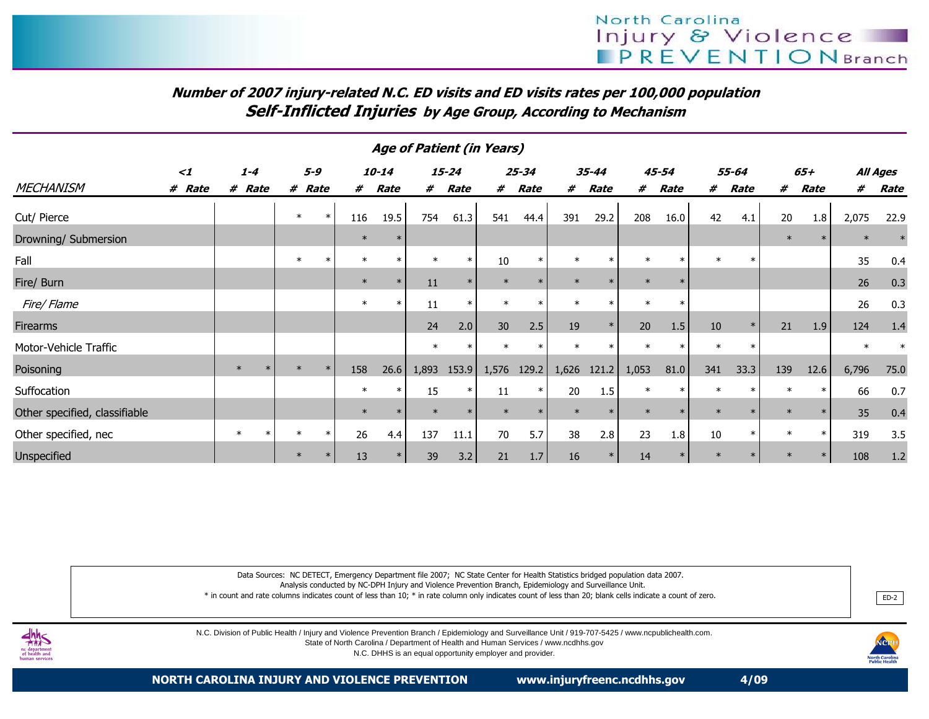## Number of 2007 injury-related N.C. ED visits and ED visits rates per 100,000 populationSelf-Inflicted Injuries by Age Group, According to Mechanism

| <b>Age of Patient (in Years)</b> |          |         |        |        |         |        |        |        |           |        |           |        |        |        |       |        |        |        |        |       |          |
|----------------------------------|----------|---------|--------|--------|---------|--------|--------|--------|-----------|--------|-----------|--------|--------|--------|-------|--------|--------|--------|--------|-------|----------|
|                                  | $\leq$ 1 | $1 - 4$ |        |        | $5 - 9$ |        | 10-14  |        | $15 - 24$ |        | $25 - 34$ |        | 35-44  |        | 45-54 |        | 55-64  |        | 65+    |       | All Ages |
| <b>MECHANISM</b>                 | # Rate   | # Rate  |        | #      | Rate    | #      | Rate   | #      | Rate      | #      | Rate      | #      | Rate   | #      | Rate  | #      | Rate   | #      | Rate   | #     | Rate     |
| Cut/ Pierce                      |          |         |        | $\ast$ | $\ast$  | 116    | 19.5   | 754    | 61.3      | 541    | 44.4      | 391    | 29.2   | 208    | 16.0  | 42     | 4.1    | 20     | 1.8    | 2,075 | 22.9     |
| Drowning/ Submersion             |          |         |        |        |         | $\ast$ |        |        |           |        |           |        |        |        |       |        |        | $\ast$ | $\ast$ |       |          |
| Fall                             |          |         |        |        |         | $\ast$ | $\ast$ | $\ast$ | $\ast$    | 10     |           | $\ast$ |        | $\ast$ |       | $\ast$ | $\ast$ |        |        | 35    | 0.4      |
| Fire/ Burn                       |          |         |        |        |         | $\ast$ | $\ast$ | 11     | $\ast$    | $\ast$ |           |        |        | $\ast$ |       |        |        |        |        | 26    | 0.3      |
| Fire/ Flame                      |          |         |        |        |         | $\ast$ | $\ast$ | 11     | $\ast$    | $\ast$ |           | $\ast$ |        | $\ast$ |       |        |        |        |        | 26    | 0.3      |
| Firearms                         |          |         |        |        |         |        |        | 24     | 2.0       | 30     | 2.5       | 19     | $\ast$ | 20     | 1.5   | 10     | $\ast$ | 21     | 1.9    | 124   | 1.4      |
| Motor-Vehicle Traffic            |          |         |        |        |         |        |        | $\ast$ | $\ast$    | $\ast$ |           | $\ast$ |        |        |       | $\ast$ | $\ast$ |        |        |       |          |
| Poisoning                        |          | $\ast$  |        |        |         | 158    | 26.6   | 1,893  | 153.9     | 1,576  | 129.2     | 1,626  | 121.2  | 1,053  | 81.0  | 341    | 33.3   | 139    | 12.6   | 6,796 | 75.0     |
| Suffocation                      |          |         |        |        |         | $\ast$ | $\ast$ | 15     | $\ast$    | 11     |           | 20     | 1.5    | $\ast$ |       | $\ast$ |        | $\ast$ | $\ast$ | 66    | 0.7      |
| Other specified, classifiable    |          |         |        |        |         | $\ast$ |        |        | $\ast$    | $\ast$ |           | $\ast$ |        | $\ast$ |       | $\ast$ |        | $\ast$ | $\ast$ | 35    | 0.4      |
| Other specified, nec             |          | $\ast$  | $\ast$ |        | $\ast$  | 26     | 4.4    | 137    | 11.1      | 70     | 5.7       | 38     | 2.8    | 23     | 1.8   | 10     | $\ast$ | $\ast$ | $\ast$ | 319   | 3.5      |
| Unspecified                      |          |         |        |        |         | 13     |        | 39     | 3.2       | 21     | 1.7       | 16     |        | 14     |       |        |        |        | $\ast$ | 108   | 1.2      |

Data Sources: NC DETECT, Emergency Department file 2007; NC State Center for Health Statistics bridged population data 2007.

Analysis conducted by NC-DPH Injury and Violence Prevention Branch, Epidemiology and Surveillance Unit.

 \* in count and rate columns indicates count of less than 10; \* in rate column only indicates count of less than 20; blank cells indicate a count of zero.. BED-2

N.C. Division of Public Health / Injury and Violence Prevention Branch / Epidemiology and Surveillance Unit / 919-707-5425 / www.ncpublichealth.com.





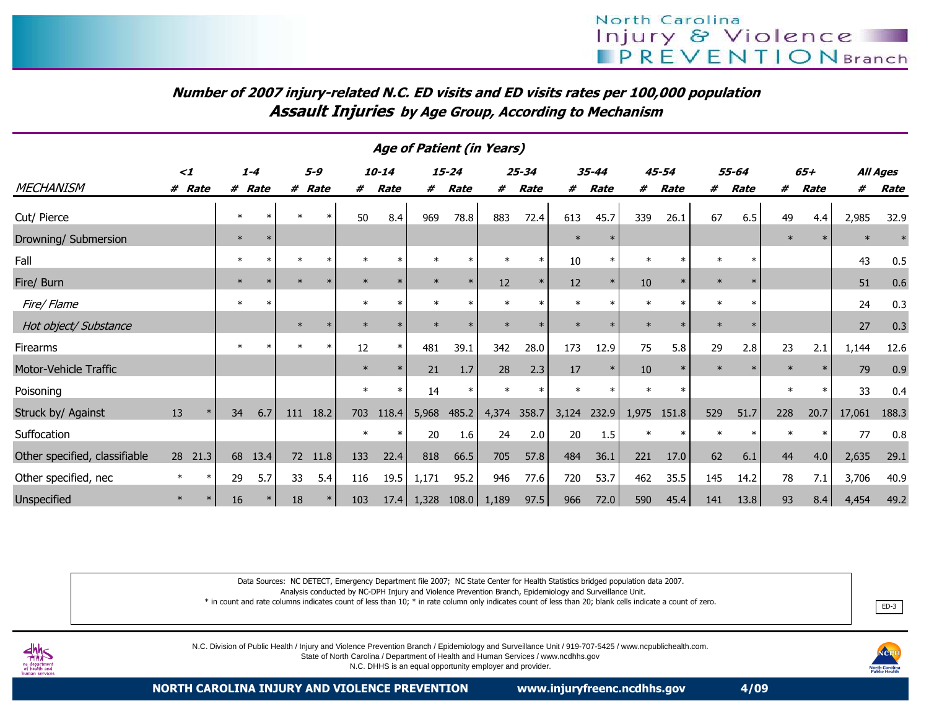## Number of 2007 injury-related N.C. ED visits and ED visits rates per 100,000 populationAssault Injuries by Age Group, According to Mechanism

| <b>Age of Patient (in Years)</b> |                  |        |         |    |          |        |             |         |           |               |             |        |           |        |        |         |       |        |        |        |          |
|----------------------------------|------------------|--------|---------|----|----------|--------|-------------|---------|-----------|---------------|-------------|--------|-----------|--------|--------|---------|-------|--------|--------|--------|----------|
|                                  | $\leq$ 1         |        | $1 - 4$ |    | $5 - 9$  |        | $10 - 14$   |         | $15 - 24$ |               | $25 - 34$   |        | $35 - 44$ |        | 45-54  |         | 55-64 |        | $65+$  |        | All Ages |
| <b>MECHANISM</b>                 | # Rate           | #      | Rate    | #  | Rate     | #      | <b>Rate</b> | #       | Rate      | #             | <b>Rate</b> | #      | Rate      | #      | Rate   | #       | Rate  | #      | Rate   | #      | Rate     |
| Cut/ Pierce                      |                  | $\ast$ | $\ast$  |    | $\ast$   | 50     | 8.4         | 969     | 78.8      | 883           | 72.4        | 613    | 45.7      | 339    | 26.1   | 67      | 6.5   | 49     | 4.4    | 2,985  | 32.9     |
| Drowning/ Submersion             |                  | $\ast$ | $\ast$  |    |          |        |             |         |           |               |             | $\ast$ |           |        |        |         |       | $\ast$ |        | $\ast$ |          |
| Fall                             |                  | $\ast$ | ∗       |    | $\ast$   | $\ast$ |             | $\ast$  |           | $\ast$        | $\ast$      | 10     |           |        |        | $\ast$  |       |        |        | 43     | 0.5      |
| Fire/ Burn                       |                  | $\ast$ |         |    | $\ast$   |        |             | $\ast$  |           | 12            | $\ast$      | 12     |           | 10     | $\ast$ | $\ast$  |       |        |        | 51     | 0.6      |
| Fire/ Flame                      |                  | $\ast$ |         |    |          | $\ast$ |             | $\ast$  |           |               |             |        |           |        |        |         |       |        |        | 24     | 0.3      |
| Hot object/ Substance            |                  |        |         |    | 놔        | $\ast$ |             | $\star$ |           |               |             | $\ast$ |           |        |        | $\ast$  |       |        |        | 27     | 0.3      |
| Firearms                         |                  | $\ast$ |         |    | $\ast$   | 12     |             | 481     | 39.1      | 342           | 28.0        | 173    | 12.9      | 75     | 5.8    | 29      | 2.8   | 23     | 2.1    | 1,144  | 12.6     |
| Motor-Vehicle Traffic            |                  |        |         |    |          | $\ast$ |             | 21      | 1.7       | 28            | 2.3         | 17     |           | 10     |        | $\star$ |       | $\ast$ |        | 79     | 0.9      |
| Poisoning                        |                  |        |         |    |          | $\ast$ |             | 14      |           |               |             |        |           | $\ast$ |        |         |       | $\ast$ | $\ast$ | 33     | 0.4      |
| Struck by/ Against               | 13<br>$\ast$     | 34     | 6.7     |    | 111 18.2 | 703    | 118.4       | 5,968   | 485.2     | 4,374         | 358.7       | 3,124  | 232.9     | 1,975  | 151.8  | 529     | 51.7  | 228    | 20.7   | 17,061 | 188.3    |
| Suffocation                      |                  |        |         |    |          | $\ast$ |             | 20      | 1.6       | 24            | 2.0         | 20     | 1.5       | $\ast$ |        | $\ast$  |       | $\ast$ | $\ast$ | 77     | 0.8      |
| Other specified, classifiable    | 28 21.3          |        | 68 13.4 |    | 72 11.8  | 133    | 22.4        | 818     | 66.5      | 705           | 57.8        | 484    | 36.1      | 221    | 17.0   | 62      | 6.1   | 44     | 4.0    | 2,635  | 29.1     |
| Other specified, nec             | $\ast$<br>$\ast$ | 29     | 5.7     | 33 | 5.4      | 116    | 19.5        | 1,171   | 95.2      | 946           | 77.6        | 720    | 53.7      | 462    | 35.5   | 145     | 14.2  | 78     | 7.1    | 3,706  | 40.9     |
| Unspecified                      | $\ast$<br>$\ast$ | 16     | $\ast$  | 18 | $\ast$   | 103    | 17.4        | 1,328   |           | $108.0$ 1,189 | 97.5        | 966    | 72.0      | 590    | 45.4   | 141     | 13.8  | 93     | 8.4    | 4,454  | 49.2     |

Data Sources: NC DETECT, Emergency Department file 2007; NC State Center for Health Statistics bridged population data 2007.

Analysis conducted by NC-DPH Injury and Violence Prevention Branch, Epidemiology and Surveillance Unit.

 \* in count and rate columns indicates count of less than 10; \* in rate column only indicates count of less than 20; blank cells indicate a count of zero.е с последните природните при в представите на природните при в при в при в при в при в при в при в при в при<br>В при в при в при в при в при в при в при в при в при в при в при в при в при в при в при в при в при в при в



N.C. Division of Public Health / Injury and Violence Prevention Branch / Epidemiology and Surveillance Unit / 919-707-5425 / www.ncpublichealth.com.

State of North Carolina / Department of Health and Human Services / www.ncdhhs.gov

N.C. DHHS is an equal opportunity employer and provider.

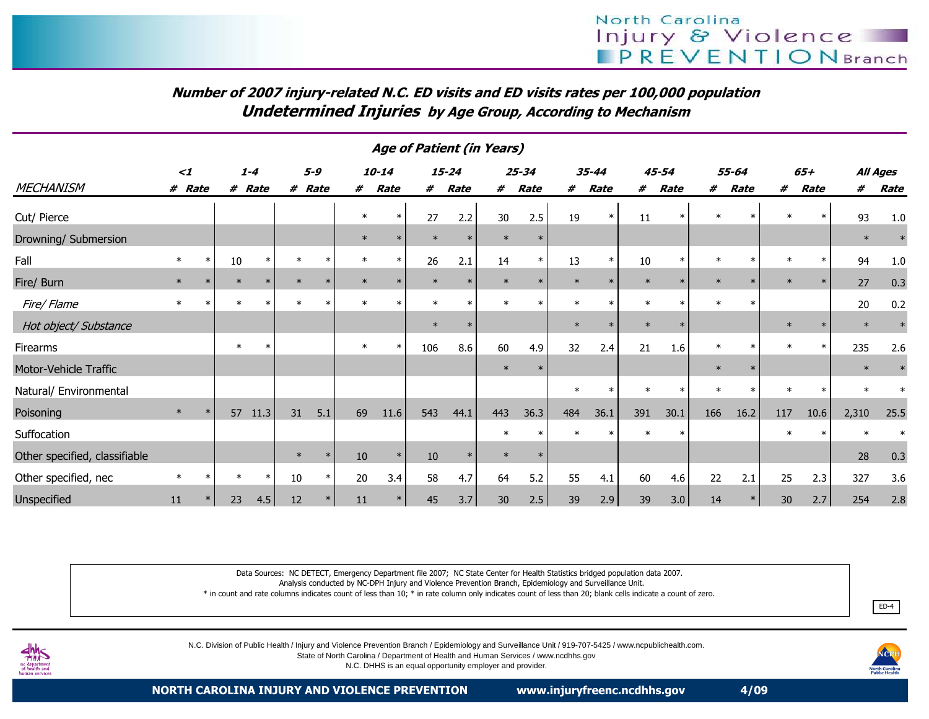## Number of 2007 injury-related N.C. ED visits and ED visits rates per 100,000 populationUndetermined Injuries by Age Group, According to Mechanism

| <b>Age of Patient (in Years)</b> |          |        |         |         |        |         |        |             |        |           |        |             |        |        |        |           |        |        |         |        |        |          |
|----------------------------------|----------|--------|---------|---------|--------|---------|--------|-------------|--------|-----------|--------|-------------|--------|--------|--------|-----------|--------|--------|---------|--------|--------|----------|
|                                  | $\leq$ 1 |        |         | $1 - 4$ |        | $5 - 9$ |        | 10-14       |        | $15 - 24$ |        | $25 - 34$   |        | 35-44  |        | $45 - 54$ |        | 55-64  |         | $65+$  |        | All Ages |
| <b>MECHANISM</b>                 | # Rate   |        |         | # Rate  | #      | Rate    | #      | <b>Rate</b> | #      | Rate      | #      | <b>Rate</b> | #      | Rate   | #      | Rate      | #      | Rate   | #       | Rate   | #      | Rate     |
| Cut/ Pierce                      |          |        |         |         |        |         | $\ast$ | $\ast$      | 27     | 2.2       | 30     | 2.5         | 19     |        | 11     |           | $\ast$ |        | $\star$ |        | 93     | 1.0      |
| Drowning/ Submersion             |          |        |         |         |        |         | $\ast$ |             |        | $\ast$    | $\ast$ |             |        |        |        |           |        |        |         |        | $\ast$ |          |
| Fall                             |          | $\ast$ | 10      | $\ast$  |        | $\ast$  | $\ast$ | $\ast$      | 26     | 2.1       | 14     | $\ast$      | 13     | $\ast$ | 10     |           | $\ast$ |        |         | $\ast$ | 94     | $1.0\,$  |
| Fire/ Burn                       | $\ast$   |        | $\ast$  |         |        |         |        |             |        |           | $\ast$ |             | $\ast$ |        | $\ast$ |           | $\ast$ |        |         | $\ast$ | 27     | 0.3      |
| Fire/Flame                       | $\ast$   |        |         |         |        |         |        |             | $\ast$ | $\ast$    |        |             | $\ast$ |        | $\ast$ |           | $\ast$ | $\ast$ |         |        | 20     | 0.2      |
| Hot object/ Substance            |          |        |         |         |        |         |        |             | $\ast$ | $\ast$    |        |             | $\ast$ |        | $\ast$ |           |        |        |         | $\ast$ | $\ast$ |          |
| Firearms                         |          |        | $\ast$  | $\star$ |        |         | $\ast$ | $\ast$      | 106    | 8.6       | 60     | 4.9         | 32     | 2.4    | 21     | 1.6       | $\ast$ |        | $\star$ | $\ast$ | 235    | 2.6      |
| Motor-Vehicle Traffic            |          |        |         |         |        |         |        |             |        |           | $\ast$ |             |        |        |        |           | $\ast$ |        |         |        | $\ast$ |          |
| Natural/ Environmental           |          |        |         |         |        |         |        |             |        |           |        |             |        |        |        | $\ast$    | $\ast$ |        |         | $\ast$ |        |          |
| Poisoning                        | $\ast$   |        | 57      | 11.3    | 31     | 5.1     | 69     | 11.6        | 543    | 44.1      | 443    | 36.3        | 484    | 36.1   | 391    | 30.1      | 166    | 16.2   | 117     | 10.6   | 2,310  | 25.5     |
| Suffocation                      |          |        |         |         |        |         |        |             |        |           | $\ast$ |             |        |        | $\ast$ |           |        |        |         | $\ast$ |        |          |
| Other specified, classifiable    |          |        |         |         | $\ast$ | $\ast$  | 10     | $\ast$      | 10     | $\ast$    | $\ast$ |             |        |        |        |           |        |        |         |        | 28     | 0.3      |
| Other specified, nec             | $\ast$   | *      | $^\ast$ | $\ast$  | 10     | $\ast$  | 20     | 3.4         | 58     | 4.7       | 64     | 5.2         | 55     | 4.1    | 60     | 4.6       | 22     | 2.1    | 25      | 2.3    | 327    | 3.6      |
| Unspecified                      | 11       |        | 23      | 4.5     | 12     |         | 11     |             | 45     | 3.7       | 30     | 2.5         | 39     | 2.9    | 39     | 3.0       | 14     |        | 30      | 2.7    | 254    | 2.8      |

Data Sources: NC DETECT, Emergency Department file 2007; NC State Center for Health Statistics bridged population data 2007.

Analysis conducted by NC-DPH Injury and Violence Prevention Branch, Epidemiology and Surveillance Unit.

\* in count and rate columns indicates count of less than 10; \* in rate column only indicates count of less than 20; blank cells indicate a count of zero.



N.C. Division of Public Health / Injury and Violence Prevention Branch / Epidemiology and Surveillance Unit / 919-707-5425 / www.ncpublichealth.com.

State of North Carolina / Department of Health and Human Services / www.ncdhhs.gov

N.C. DHHS is an equal opportunity employer and provider.



ED-4